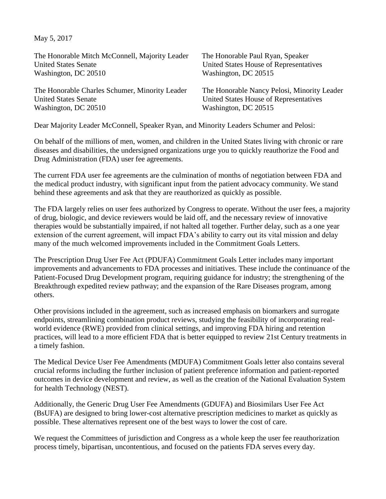May 5, 2017

| The Honorable Mitch McConnell, Majority Leader | The Honorable Paul Ryan, Speaker            |
|------------------------------------------------|---------------------------------------------|
| <b>United States Senate</b>                    | United States House of Representatives      |
| Washington, DC 20510                           | Washington, DC 20515                        |
| The Honorable Charles Schumer, Minority Leader | The Honorable Nancy Pelosi, Minority Leader |
| <b>United States Senate</b>                    | United States House of Representatives      |
| Washington, DC 20510                           | Washington, DC 20515                        |
|                                                |                                             |

Dear Majority Leader McConnell, Speaker Ryan, and Minority Leaders Schumer and Pelosi:

On behalf of the millions of men, women, and children in the United States living with chronic or rare diseases and disabilities, the undersigned organizations urge you to quickly reauthorize the Food and Drug Administration (FDA) user fee agreements.

The current FDA user fee agreements are the culmination of months of negotiation between FDA and the medical product industry, with significant input from the patient advocacy community. We stand behind these agreements and ask that they are reauthorized as quickly as possible.

The FDA largely relies on user fees authorized by Congress to operate. Without the user fees, a majority of drug, biologic, and device reviewers would be laid off, and the necessary review of innovative therapies would be substantially impaired, if not halted all together. Further delay, such as a one year extension of the current agreement, will impact FDA's ability to carry out its vital mission and delay many of the much welcomed improvements included in the Commitment Goals Letters.

The Prescription Drug User Fee Act (PDUFA) Commitment Goals Letter includes many important improvements and advancements to FDA processes and initiatives. These include the continuance of the Patient-Focused Drug Development program, requiring guidance for industry; the strengthening of the Breakthrough expedited review pathway; and the expansion of the Rare Diseases program, among others.

Other provisions included in the agreement, such as increased emphasis on biomarkers and surrogate endpoints, streamlining combination product reviews, studying the feasibility of incorporating realworld evidence (RWE) provided from clinical settings, and improving FDA hiring and retention practices, will lead to a more efficient FDA that is better equipped to review 21st Century treatments in a timely fashion.

The Medical Device User Fee Amendments (MDUFA) Commitment Goals letter also contains several crucial reforms including the further inclusion of patient preference information and patient-reported outcomes in device development and review, as well as the creation of the National Evaluation System for health Technology (NEST).

Additionally, the Generic Drug User Fee Amendments (GDUFA) and Biosimilars User Fee Act (BsUFA) are designed to bring lower-cost alternative prescription medicines to market as quickly as possible. These alternatives represent one of the best ways to lower the cost of care.

We request the Committees of jurisdiction and Congress as a whole keep the user fee reauthorization process timely, bipartisan, uncontentious, and focused on the patients FDA serves every day.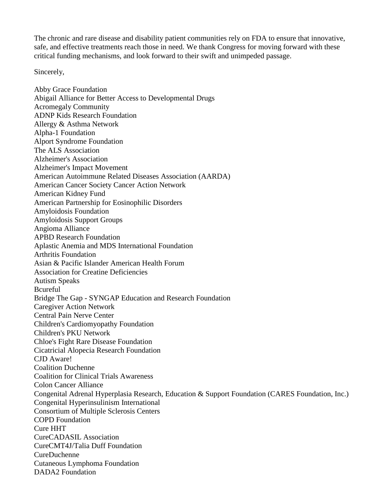The chronic and rare disease and disability patient communities rely on FDA to ensure that innovative, safe, and effective treatments reach those in need. We thank Congress for moving forward with these critical funding mechanisms, and look forward to their swift and unimpeded passage.

Sincerely,

Abby Grace Foundation Abigail Alliance for Better Access to Developmental Drugs Acromegaly Community ADNP Kids Research Foundation Allergy & Asthma Network Alpha-1 Foundation Alport Syndrome Foundation The ALS Association Alzheimer's Association Alzheimer's Impact Movement American Autoimmune Related Diseases Association (AARDA) American Cancer Society Cancer Action Network American Kidney Fund American Partnership for Eosinophilic Disorders Amyloidosis Foundation Amyloidosis Support Groups Angioma Alliance APBD Research Foundation Aplastic Anemia and MDS International Foundation Arthritis Foundation Asian & Pacific Islander American Health Forum Association for Creatine Deficiencies Autism Speaks Bcureful Bridge The Gap - SYNGAP Education and Research Foundation Caregiver Action Network Central Pain Nerve Center Children's Cardiomyopathy Foundation Children's PKU Network Chloe's Fight Rare Disease Foundation Cicatricial Alopecia Research Foundation CJD Aware! Coalition Duchenne Coalition for Clinical Trials Awareness Colon Cancer Alliance Congenital Adrenal Hyperplasia Research, Education & Support Foundation (CARES Foundation, Inc.) Congenital Hyperinsulinism International Consortium of Multiple Sclerosis Centers COPD Foundation Cure HHT CureCADASIL Association CureCMT4J/Talia Duff Foundation CureDuchenne Cutaneous Lymphoma Foundation DADA2 Foundation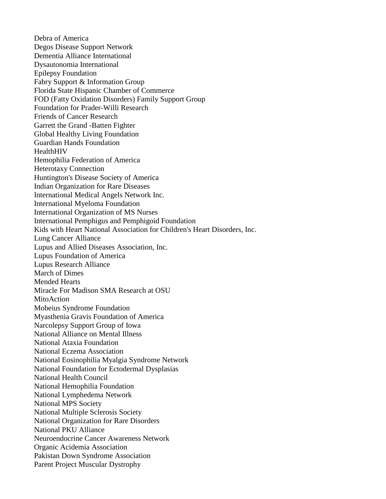Debra of America Degos Disease Support Network Dementia Alliance International Dysautonomia International Epilepsy Foundation Fabry Support & Information Group Florida State Hispanic Chamber of Commerce FOD (Fatty Oxidation Disorders) Family Support Group Foundation for Prader-Willi Research Friends of Cancer Research Garrett the Grand -Batten Fighter Global Healthy Living Foundation Guardian Hands Foundation HealthHIV Hemophilia Federation of America Heterotaxy Connection Huntington's Disease Society of America Indian Organization for Rare Diseases International Medical Angels Network Inc. International Myeloma Foundation International Organization of MS Nurses International Pemphigus and Pemphigoid Foundation Kids with Heart National Association for Children's Heart Disorders, Inc. Lung Cancer Alliance Lupus and Allied Diseases Association, Inc. Lupus Foundation of America Lupus Research Alliance March of Dimes Mended Hearts Miracle For Madison SMA Research at OSU MitoAction Mobeius Syndrome Foundation Myasthenia Gravis Foundation of America Narcolepsy Support Group of Iowa National Alliance on Mental Illness National Ataxia Foundation National Eczema Association National Eosinophilia Myalgia Syndrome Network National Foundation for Ectodermal Dysplasias National Health Council National Hemophilia Foundation National Lymphedema Network National MPS Society National Multiple Sclerosis Society National Organization for Rare Disorders National PKU Alliance Neuroendocrine Cancer Awareness Network Organic Acidemia Association Pakistan Down Syndrome Association Parent Project Muscular Dystrophy